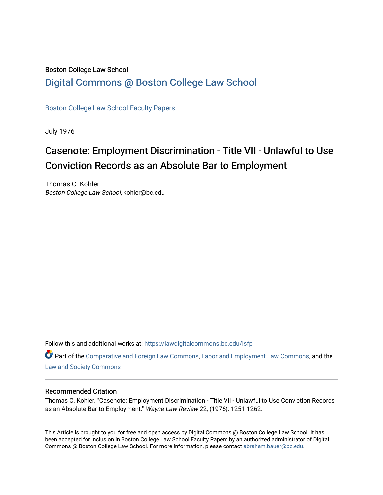### Boston College Law School [Digital Commons @ Boston College Law School](https://lawdigitalcommons.bc.edu/)

[Boston College Law School Faculty Papers](https://lawdigitalcommons.bc.edu/lsfp) 

July 1976

# Casenote: Employment Discrimination - Title VII - Unlawful to Use Conviction Records as an Absolute Bar to Employment

Thomas C. Kohler Boston College Law School, kohler@bc.edu

Follow this and additional works at: [https://lawdigitalcommons.bc.edu/lsfp](https://lawdigitalcommons.bc.edu/lsfp?utm_source=lawdigitalcommons.bc.edu%2Flsfp%2F813&utm_medium=PDF&utm_campaign=PDFCoverPages) 

Part of the [Comparative and Foreign Law Commons,](http://network.bepress.com/hgg/discipline/836?utm_source=lawdigitalcommons.bc.edu%2Flsfp%2F813&utm_medium=PDF&utm_campaign=PDFCoverPages) [Labor and Employment Law Commons](http://network.bepress.com/hgg/discipline/909?utm_source=lawdigitalcommons.bc.edu%2Flsfp%2F813&utm_medium=PDF&utm_campaign=PDFCoverPages), and the [Law and Society Commons](http://network.bepress.com/hgg/discipline/853?utm_source=lawdigitalcommons.bc.edu%2Flsfp%2F813&utm_medium=PDF&utm_campaign=PDFCoverPages) 

#### Recommended Citation

Thomas C. Kohler. "Casenote: Employment Discrimination - Title VII - Unlawful to Use Conviction Records as an Absolute Bar to Employment." Wayne Law Review 22, (1976): 1251-1262.

This Article is brought to you for free and open access by Digital Commons @ Boston College Law School. It has been accepted for inclusion in Boston College Law School Faculty Papers by an authorized administrator of Digital Commons @ Boston College Law School. For more information, please contact [abraham.bauer@bc.edu.](mailto:abraham.bauer@bc.edu)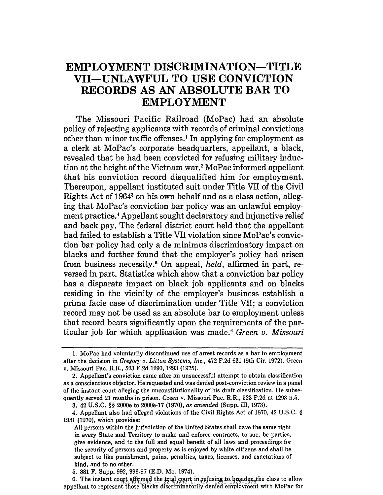## **EMPLOYMENT DISCRIMINATION-TITLE VII-UNLAWFUL TO USE CONVICTION RECORDS AS AN ABSOLUTE BAR TO EMPLOYMENT**

The Missouri Pacific Railroad (MoPac) had an absolute policy of rejecting applicants with records of criminal convictions other than minor traffic offenses.<sup>1</sup> In applying for employment as a clerk at MoPac's corporate headquarters, appellant, a black, revealed that he had been convicted for refusing military induction at the height of the Vietnam war. <sup>2</sup>MoPac informed appellant that his conviction record disqualified him for employment. Thereupon, appellant instituted suit under Title VII of the Civil Rights Act of 19643 on his own behalf and as a class action, alleging that MoPac's conviction bar policy was an unlawful employment practice.4 Appellant sought declaratory and injunctive relief and back pay. The federal district court held that the appellant had failed to establish a Title VII violation since MoPac's conviction bar policy had only a de minimus discriminatory impact on blacks and further found that the employer's policy had arisen from business necessity.5 On appeal, held, affirmed in part, reversed in part. Statistics which show that a conviction bar policy has a disparate impact on black job applicants and on blacks residing in the vicinity of the employer's business establish a prima facie case of discrimination under Title VII; a conviction record may not be used as an absolute bar to employment unless that record bears significantly upon the requirements of the particular job for which application was made. <sup>6</sup>*Green v. Missouri* 

<sup>1.</sup> MoPac had voluntarily discontinued use of arrest records as a bar to employment after the decision in *Gregory v. Litton Systems, Inc.,* 472 F.2d 631 (9th Cir. 1972). Green v. Missouri Pac. R.R., 523 F.2d 1290, 1293 (1975).

<sup>2.</sup> Appellant's conviction came after an unsuccessful attempt to obtain classification as a conscientious objector. He requested and was denied post-conviction review in a panel of the instant court alleging the unconstitutionality of his draft classification. He subsequently served 21 months in prison. Green v. Missouri Pac. R.R., 523 F.2d at 1293 n.5.

<sup>3. 42</sup> U.S.C. §§ 2000e to 2000'e-17 (1970), *as amended* (Supp. III, 1973)\_

<sup>4</sup>\_ Appellant also had alleged violations of the Civil Rights Act of 1870, 42 U.S.C. § 1981 (1970), which provides:

All persons within the jurisdiction of the United States shall have the same right in every State and Territory to make and enforce contracts, to sue, be parties, give evidence, and to the full and equal benefit of all laws and proceedings for the security of persons and property as is enjoyed by white citizens and shall be subject to like punishment, pains, penalties, taxes, licenses, and exactations of kind, and to no other.

<sup>5. 381</sup> F. Supp. 992, 996-97 (E.D. Mo. 1974).

of the model of HeinOnline and Mayne L. Rev. 1251 1975-1976. He can be chosen to all those blacks discriminatorily denied employment with MoPac for 6. The instant court affirmed the trial court in refusing to broaden the class to allow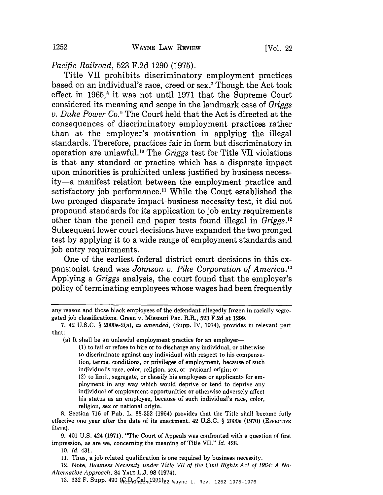*Pacific Railroad,* 523 F.2d 1290 (1975).

Title VII prohibits discriminatory employment practices based on an individual's race, creed or sex.7 Though the Act took effect in  $1965$ ,<sup>8</sup> it was not until 1971 that the Supreme Court considered its meaning and scope in the landmark case of *Griggs v. Duke Power CO.9* The Court held that the Act is directed at the consequences of discriminatory employment practices rather than at the employer's motivation in applying the illegal standards. Therefore, practices fair in form but discriminatory in operation are unlawfu1. 1o The *Griggs* test for Title VII violations is that any standard or practice which has a disparate impact upon minorities is prohibited unless justified by business necessity-a manifest relation between the employment practice and satisfactory job performance.<sup>11</sup> While the Court established the two pronged disparate impact-business necessity test, it did not propound standards for its application to job entry requirements other than the pencil and paper tests found illegal in *Griggs.* <sup>12</sup> Subsequent lower court decisions have expanded the two pronged test by applying it to a wide range of employment standards and job entry requirements.

One of the earliest federal district court decisions in this expansionist trend was *Johnson v. Pike Corporation of America.* <sup>13</sup> Applying a *Griggs* analysis, the court found that the employer's policy of terminating employees whose wages had been frequently

(a) It shall be an unlawful employment practice for an employer-

(1) to fail or refuse to hire or to discharge any individual, or otherwise to discriminate against any individual with respect to his compensation, terms, conditions, or privileges of employment, because of such individual's race, color, religion, sex, or national origin; or (2) to limit, segregate, or classify his employees or applicants for employment in any way which would deprive or tend to deprive any individual of employment opportunities or otherwise adversely affect his status as an employee, because of such individual's race, color, religion, sex or national origin.

8. Section 716 of Pub. L. 88-352 (1964) provides that the Title shall become fully effective one year after the date of its enactment.  $42 \text{ U.S.C.}$  § 2000e (1970) (EFFECTIVE DATE).

9. 401 U.S. 424 (1971). "The Court of Appeals was confronted with a question of first impression, as are we, concerning the meaning of Title VII." Id. 428.

*10. [d. 431.* 

11. Thus, a job related qualification is one required by business necessity.

12. Note, Business Necessity under Title VII of the Civil Rights Act of 1964: A No-*Alternative Approach,* 84 YALE L.J. 98 (1974).

13. 332 F. Supp. 490 (C.D. Cal. 1971)<sub>22 Wayne L. Rev. 1252 1975-1976</sub>

any reason and those black employees of the defendant allegedly frozen in racially segregated job classifications. Green v. Missouri Pac. R.R., 523 F.2d at 1299.

<sup>7. 42</sup> U.S.C. § 2000e-2(a), *as amended,* (Supp. IV, 1974), provides in relevant part that: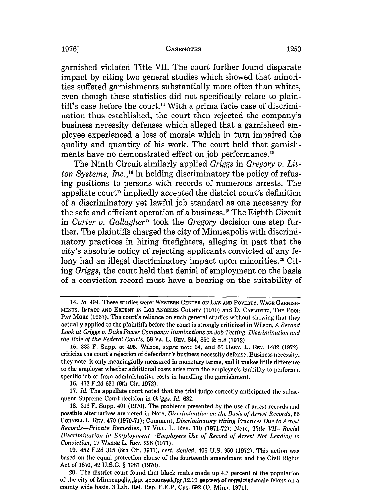garnished violated Title VII. The court further found disparate impact by citing two general studies which showed that minorities suffered garnishments substantially more often than whites, even though these statistics did not specifically relate to plaintiff's case before the court.<sup>14</sup> With a prima facie case of discrimination thus established, the court then rejected the company's business necessity defenses which alleged that a garnisheed employee experienced a loss of morale which in turn impaired the quality and quantity of his work. The court held that garnishments have no demonstrated effect on job performance. <sup>15</sup>

The Ninth Circuit similarly applied *Griggs* in *Gregory v. Litton Systems, Inc.,* 16 in holding discriminatory the policy of refusing positions to persons with records of numerous arrests. The appellate court<sup>17</sup> impliedly accepted the district court's definition of a discriminatory yet lawful job standard as one necessary for the safe and efficient operation of a business.<sup>18</sup> The Eighth Circuit in *Carter v. Gallagherl9* took the *Gregory* decision one step further. The plaintiffs charged the city of Minneapolis with discriminatory practices in hiring firefighters, alleging in part that the city's absolute policy of rejecting applicants convicted of any felony had an illegal discriminatory impact upon minorities.<sup>20</sup> Citing *Griggs,* the court held that denial of employment on the basis of a conviction record must have a bearing on the suitability of

*<sup>14.</sup> ld.* 494. These studies were: WESTERN CENTER ON LAW AND POVERTY, WAGE GARNISH· MENTS, IMPACT AND EXTENT IN Los ANGELES COUNTY (1970) and D. CAPLOVITZ, THE POOR PAY MORE (1967). The court's reliance on such general studies without showing that they actually applied to the plaintiffs before the court is strongly criticized in Wilson, *A Second Look at Griggs u. Duke Power Company: Ruminations on Job Testing, Discrimination and the Role of the Federal Courts,* 58 VA. L. REV. 844, 850 & n.8 (1972).

<sup>15. 332</sup> F. Supp. at 495. Wilson, *supra* note 14, and 85 HARV. L. REV. 1482 (1972), criticize the court's rejection of defendant's business necessity defense. Business necessity. they note, is only meaningfully measured in monetary terms, and it makes little differenre to the employer whether additional costs arise from the employee's inability to perform a specific job or from administrative costs in handling the garnishment.

<sup>16. 472</sup> F.2d 631 (9th Cir. 1972).

<sup>17.</sup> *ld.* The appellate court noted that the trial judge correctly anticipated the subse· quent Supreme Court decision in *Griggs. ld. 632.* 

<sup>18. 316</sup> F. Supp. 401 (1970). The problems presented by the use of arrest records and possible alternatives are noted in Note, *Discrimination on the Basis of Arrest Records. 56*  CORNELL L. REV. 470 (1970·71); Comment, *Discriminatory Hiring Practices Due to Arrest Records-Private Remedies,* 17 VILL. L. REV. 110 (1971·72); Note, *Title VII-Racial Discrimination in Employment-Employers Use of Record of Arrest Not Leading to Conviction,* 17 WAYNE L. REV. 228 (1971).

<sup>19. 452</sup> F.2d 315 (8th Cir. 1971), *cert. denied,* 406 U.S. 950 (1972). This action was based on the equal protection clause of the fourteenth amendment and the Civil Rights Act of 1870, 42 U.S.C. § 1981 (1970).

of the city of Minneapolis, but accounted for 12-19 percent of convicted male felons on a 20. The district court found that black males made up 4.7 percent of the population county wide basis. 3 Lab. Rel. Rep. F.E.P. Cas. 692 (D. Minn. 1971).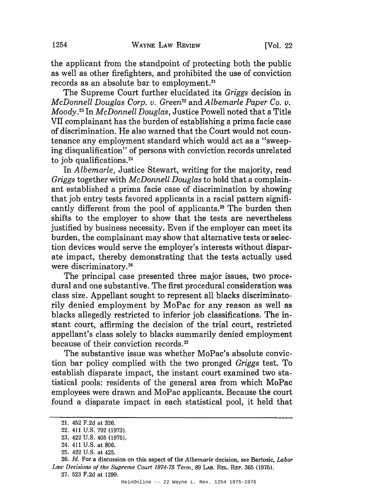the applicant from the standpoint of protecting both the public as well as other firefighters, and prohibited the use of conviction records as an absolute bar to employment.<sup>21</sup>

The Supreme Court further elucidated its *Griggs* decision in *McDonnell Douglas Corp. v. Green*<sup>22</sup> and *Albemarle Paper Co. v. Moody.23* In *McDonnell Douglas,* Justice Powell noted that a Title VII complainant has the burden of establishing a prima facie case of discrimination. He also warned that the Court would not countenance any employment standard which would act as a "sweeping disqualification" of persons with conviction records unrelated to job qualifications.<sup>24</sup>

In *Albemarle,* Justice Stewart, writing for the majority, read *Griggs* together with *McDonnell Douglas* to hold that a complainant established a prima facie case of discrimination by showing that job entry tests favored applicants in a racial pattern significantly different from the pool of applicants.<sup>25</sup> The burden then shifts to the employer to show that the tests are nevertheless justified by business necessity. Even if the employer can meet its burden, the complainant may show that alternative tests or selection devices would serve the employer's interests without disparate impact, thereby demonstrating that the tests actually used were discriminatory. 26

The principal case presented three major issues, two procedural and one substantive. The first procedural consideration was class size. Appellant sought to represent all blacks discriminatorily denied employment by MoPac for any reason as well as blacks allegedly restricted to inferior job classifications. The instant court, affirming the decision of the trial court, restricted appellant's class solely to blacks summarily denied employment because of their conviction records.<sup>27</sup>

The substantive issue was whether MoPac's absolute conviction bar policy complied with the two pronged *Griggs* test. To establish disparate impact, the instant court examined two statistical pools: residents of the general area from which MoPac employees were drawn and MoPac applicants. Because the court found a disparate impact in each statistical pool, it held that

*26. [d.* For a discussion on this aspect of the *Albemarle* decision, see Bartosic, *Labor*  Law *Decisions of the Supreme Court 1974-75 Term*, 89 LAB. REL. REP. 365 (1975). 27. 523 F.2d at 1299.

<sup>21. 452</sup> F.2d at 326.

<sup>22. 411</sup> U.S. 792 (1973).

<sup>23. 422</sup> U.S. 405 (1975).

<sup>24. 411</sup> U.S. at 806.

<sup>25. 422</sup> U.S. at 425.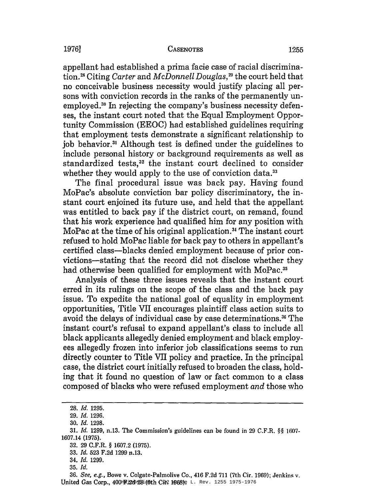appellant had established a prima facie case of racial discrimination.28 Citing *Carter* and *McDonnell Douglas,* 29 the court held that no conceivable business necessity would justify placing all persons with conviction records in the ranks of the permanently unemployed.30 In rejecting the company's business necessity defenses, the instant court noted that the Equal Employment Opportunity Commission (EEOC) had established guidelines requiring that employment tests demonstrate a significant relationship to job behavior.3. Although test is defined under the guidelines to include personal history or background requirements as well as standardized tests,<sup>32</sup> the instant court declined to consider whether they would apply to the use of conviction data.<sup>33</sup>

The final procedural issue was back pay. Having found MoPac's absolute conviction bar policy discriminatory, the instant court enjoined its future use, and held that the appellant was entitled to back pay if the district court, on remand, found that his work experience had qualified him for any position with MoPac at the time of his original application.<sup>34</sup> The instant court refused to hold MoPac liable for back pay to others in appellant's certified class-blacks denied employment because of prior convictions-stating that the record did not disclose whether they had otherwise been qualified for employment with MoPac.<sup>35</sup>

Analysis of these three issues reveals that the instant court erred in its rulings on the scope of the class and the back pay issue. To expedite the national goal of equality in employment opportunities, Title VII encourages plaintiff class action suits to avoid the delays of individual case by case determinations.36 The instant court's refusal to expand appellant's class to include all black applicants allegedly denied employment and black employees allegedly frozen into inferior job classifications seems to run directly counter to Title VII policy and practice. In the principal case, the district court initially refused to broaden the class, holding that it found no question of law or fact common to a class composed of blacks who were refused employment *and* those who

*<sup>28. [</sup>d. 1295.* 

*<sup>29. [</sup>d. 1296.* 

*<sup>30. [</sup>d. 1298.* 

*<sup>31. [</sup>d.* 1299, n.13. The Commission's guidelines can be found in 29 C.F.R. §§ 1607- 1607.14 (1975).

<sup>32. 29</sup> C.F.R. § 1607.2 (1975).

*<sup>33. [</sup>d.* 523 F.2d 1299 n.13.

*<sup>34. [</sup>d. 1299.* 

*<sup>35. [</sup>d.* 

United Gas Corp., 400 E.2d 28 (5th Cir2 1868) e L. Rev. 1255 1975-1976 *36. See, e.g.,* Bowe v. Colgate-Palmolive Co., 416 F.2d 711 (7th Cir. 1969); Jenkins v.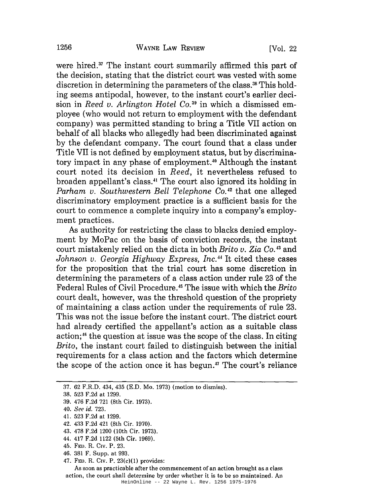were hired.<sup>37</sup> The instant court summarily affirmed this part of the decision, stating that the district court was vested with some discretion in determining the parameters of the class.<sup>38</sup> This holding seems antipodal, however, to the instant court's earlier decision in *Reed v. Arlington Hotel CO.39* in which a dismissed employee (who would not return to employment with the defendant company) was permitted standing to bring a Title VII action on behalf of all blacks who allegedly had been discriminated against by the defendant company. The court found that a class under Title VII is not defined by employment status, but by discriminatory impact in any phase of employment.<sup>40</sup> Although the instant court noted its decision in *Reed,* it nevertheless refused to broaden appellant's class.41 The court also ignored its holding in *Parham v. Southwestern Bell Telephone CO.42* that one alleged discriminatory employment practice is a sufficient basis for the court to commence a complete inquiry into a company's employment practices.

As authority for restricting the class to blacks denied employment by MoPac on the basis of conviction records, the instant court mistakenly relied on the dicta in both *Brito v. Zia CO.43* and Johnson v. Georgia Highway Express, Inc.<sup>44</sup> It cited these cases for the proposition that the trial court has some discretion in determining the parameters of a class action under rule 23 of the Federal Rules of Civil Procedure.45 The issue with which the *Brito*  court dealt, however, was the threshold question of the propriety of maintaining a class action under the requirements of rule 23. This was not the issue before the instant court. The district court had already certified the appellant's action as a suitable class action;<sup>46</sup> the question at issue was the scope of the class. In citing *Brito,* the instant court failed to distinguish between the initial requirements for a class action and the factors which determine the scope of the action once it has begun. 47 The court's reliance

- 37. 62 F.R.D. 434, 435 (E.D. Mo. 1973) (motion to dismiss).
- 38. 523 F.2d at 1299.
- 39. 476 F.2d 721 (8th Cir. 1973).
- *40. See id. 723.*
- 41. 523 F.2d at 1299.
- 42. 433 F.2d 421 (8th Cir. 1970).
- 43. 478 F.2d 1200 (10th Cir. 1973).
- 44. 417 F.2d 1122 (5th Cir. 1969).
- 45. FED. R. CIV. P. 23.
- 46. 381 F. Supp. at 993.
- 47. FED. R. CIV. P. 23(c)(1) provides:

As soon as practicable after the commencement of an action brought as a class action, the court shall determine by order whether it is to be so maintained. An

HeinOnline -- 22 Wayne L. Rev. 1256 1975-1976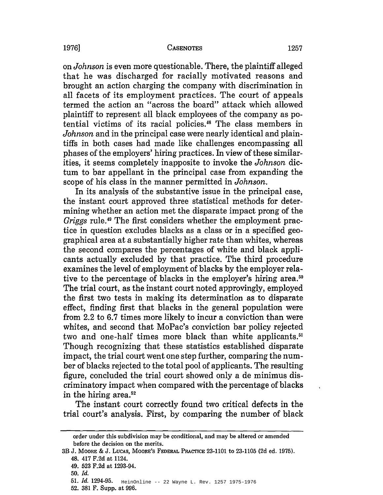on *Johnson* is even more questionable. There, the plaintiff alleged that he was discharged for racially motivated reasons and brought an action charging the company with discrimination in all facets of its employment practices. The court of appeals termed the action an "across the board" attack which allowed plaintiff to represent all black employees of the company as potential victims of its racial policies.48 The class members in *Johnson* and in the principal case were nearly identical and plaintiffs in both cases had made like challenges encompassing all phases of the employers' hiring practices. In view of these similarities, it seems completely inapposite to invoke the *Johnson* dictum to bar appellant in the principal case from expanding the scope of his class in the manner permitted in *Johnson.* 

**In** its analysis of the substantive issue in the principal case, the instant court approved three statistical methods for determining whether an action met the disparate impact prong of the *Griggs* rule.49 The first considers whether the employment practice in question excludes blacks as a class or in a specified geographical area at a substantially higher rate than whites, whereas the second compares the percentages of white and black applicants actually excluded by that practice. The third procedure examines the level of employment of blacks by the employer relative to the percentage of blacks in the employer's hiring area.<sup>50</sup> The trial court, as the instant court noted approvingly, employed the first two tests in making its determination as to disparate effect, finding first that blacks in the general population were from 2.2 to 6.7 times more likely to incur a conviction than were whites, and second that MoPac's conviction bar policy rejected two and one-half times more black than white applicants.<sup>51</sup> Though recognizing that these statistics established disparate impact, the trial court went one step further, comparing the number of blacks rejected to the total pool of applicants. The resulting figure, concluded the trial court showed only a de minimus discriminatory impact when compared with the percentage of blacks in the hiring area.52

The instant court correctly found two critical defects in the trial court's analysis. First, by comparing the number of black

order under this subdivision may be conditional, and may be altered or amended before the decision on the merits.

<sup>3</sup>B J. MOORE & J. LUCAS, MOORE'S FEDERAL PRACTICE 23-1101 to 23-1105 (2d ed. 1975). 48. 417 F.2d at 1124.

<sup>49. 523</sup> F.2d at 1293-94.

*<sup>50.</sup> Id.* 

HeinOnline -- 22 Wayne L. Rev. 1257 1975-1976 *51. Id. 1294-95.* 

<sup>52. 381</sup> F. Supp. at 996.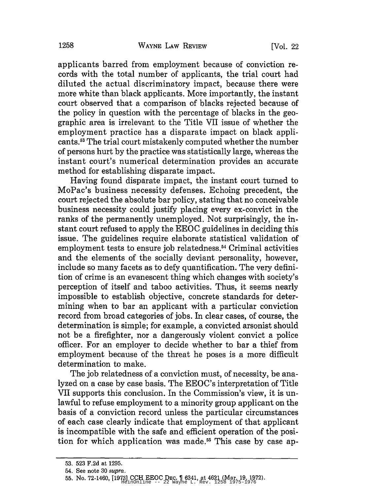applicants barred from employment because of conviction records with the total number of applicants, the trial court had diluted the actual discriminatory impact, because there were more white than black applicants. More importantly, the instant court observed that a comparison of blacks rejected because of the policy in question with the percentage of blacks in the geographic area is irrelevant to the Title VII issue of whether the employment practice has a disparate impact on black applicants. 53 The trial court mistakenly computed whether the number of persons hurt by the practice was statistically large, whereas the instant court's numerical determination provides an accurate method for establishing disparate impact.

Having found disparate impact, the instant court turned to MoPac's business necessity defenses. Echoing precedent, the court rejected the absolute bar policy, stating that no conceivable business necessity could justify placing every ex-convict in the ranks of the permanently unemployed. Not surprisingly, the instant court refused to apply the EEOC guidelines in deciding this issue. The guidelines require elaborate statistical validation of employment tests to ensure job relatedness.<sup>54</sup> Criminal activities and the elements of the socially deviant personality, however, include so many facets as to defy quantification. The very definition of crime is an evanescent thing which changes with society's perception of itself and taboo activities. Thus, it seems nearly impossible to establish objective, concrete standards for determining when to bar an applicant with a particular conviction record from broad categories of jobs. In clear cases, of course, the determination is simple; for example, a convicted arsonist should not be a firefighter, nor a dangerously violent convict a police officer. For an employer to decide whether to bar a thief from employment because of the threat he poses is a more difficult determination to make.

The job relatedness of a conviction must, of necessity, be analyzed on a case by case basis. The EEOC's interpretation of Title VII supports this conclusion. In the Commission's view, it is unlawful to refuse employment to a minority group applicant on the basis of a conviction record unless the particular circumstances of each case clearly indicate that employment of that applicant is incompatible with the safe and efficient operation of the position for which application was made.<sup>55</sup> This case by case ap-

<sup>53. 523</sup> F.2d at 1295.

<sup>54.</sup> See note 30 supra.

<sup>55.</sup> No. 72-1460, [1973] CCH EEOC DEC.  $\parallel$  6341, at 4621 (Mar. 19, 1972).<br>
HeinOnline -- 22 Wayne L. Rev. 1258 1975-1976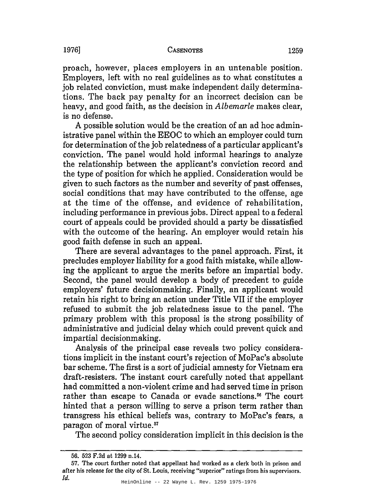proach, however, places employers in an untenable position. Employers, left with no real guidelines as to what constitutes a job related conviction, must make independent daily determinations. The back pay penalty for an incorrect decision can be heavy, and good faith, as the decision in *Albemarle* makes clear, is no defense.

A possible solution would be the creation of an ad hoc administrative panel within the EEOC to which an employer could turn for determination of the job relatedness of a particular applicant's conviction. The panel would hold informal hearings to analyze the relationship between the applicant's conviction record and the type of position for which he applied. Consideration would be given to such factors as the number and severity of past offenses, social conditions that may have contributed to the offense, age at the time of the offense, and evidence of rehabilitation, including performance in previous jobs. Direct appeal to a federal court of appeals could be provided should a party be dissatisfied with the outcome of the hearing. An employer would retain his good faith defense in such an appeal.

There are several advantages to the panel approach. First, it precludes employer liability for a good faith mistake, while allowing the applicant to argue the merits before an impartial body. Second, the panel would develop a body of precedent to guide employers' future decisionmaking. Finally, an applicant would retain his right to bring an action under Title VII if the employer refused to submit the job relatedness issue to the panel. The primary problem with this proposal is the strong possibility of administrative and judicial delay which could prevent quick and impartial decisionmaking.

Analysis of the principal case reveals two policy considerations implicit in the instant court's rejection of MoPac's absolute bar scheme. The first is a sort of judicial amnesty for Vietnam era draft-resisters. The instant court carefully noted that appellant had committed a non-violent crime and had served time in prison rather than escape to Canada or evade sanctions.<sup>56</sup> The court hinted that a person willing to serve a prison term rather than transgress his ethical beliefs was, contrary to MoPac's fears, a paragon of moral virtue. 57

The second policy consideration implicit in this decision is the

<sup>56. 523</sup> F.2d at 1299 n.14.

<sup>57.</sup> The court further noted that appellant had worked as a clerk both in prison and after his release for the city of St. Louis, receiving "superior" ratings from his supervisors. [d.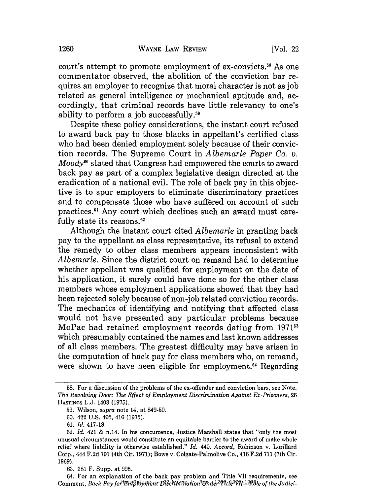court's attempt to promote employment of ex-convicts.<sup>58</sup> As one commentator observed, the abolition of the conviction bar requires an employer to recognize that moral character is not as job related as general intelligence or mechanical aptitude and, accordingly, that criminal records have little relevancy to one's ability to perform a job successfully.59

Despite these policy considerations, the instant court refused to award back pay to those blacks in appellant's certified class who had been denied employment solely because of their conviction records. The Supreme Court in *Albemarle Paper Co. v. Moody*<sup>60</sup> stated that Congress had empowered the courts to award back pay as part of a complex legislative design directed at the eradication of a national evil. The role of back pay in this objective is to spur employers to eliminate discriminatory practices and to compensate those who have suffered on account of such practices.61 Any court which declines such an award must carefully state its reasons. <sup>62</sup>

Although the instant court cited *Albemarle* in granting back pay to the appellant as class representative, its refusal to extend the remedy to other class members appears inconsistent with *Albemarle.* Since the district court on remand had to determine whether appellant was qualified for employment on the date of his application, it surely could have done so for the other class members whose employment applications showed that they had been rejected solely because of non-job related conviction records. The mechanics of identifying and notifying that affected class would not have presented any particular problems because MoPac had retained employment records dating from 1971<sup>63</sup> which presumably contained the names and last known addresses of all class members. The greatest difficulty may have arisen in the computation of back pay for class members who, on remand, were shown to have been eligible for employment.<sup>64</sup> Regarding

<sup>58.</sup> For a discussion of the problems of the ex·offender and conviction bars, see Note, *The Revolving Door: The Effect of Employment Discrimination Against Ex-Prisoners, 26*  HASTINGS L.J. 1403 (1975).

<sup>59.</sup> Wilson, *supra* note 14, at 849-50.

<sup>60. 422</sup> U.S. 405, 416 (1975).

<sup>61. [</sup>d. 417-18.

*<sup>62. [</sup>d.* 421 & n.14. In his concurrence, Justice Marshall states that "only the most unusual circumstances would constitute an equitable barrier to the award of make whole relief where liability is otherwise established." *[d.* 440. *Accord,* Robinson v. Lorillard Corp., 444 F.2d 791 (4th Cir. 1971); Bowe v. Colgate-Palmolive Co., 416 F.2d 711 (7th Cir. 1969).

<sup>63. 381</sup> F. Supp. at 995.

 $\emph{Comment, Back Pay for \textbf{\textit{E}}\hat{m}$ ployment Discrimination Under Title VII-Role of the Judici-64. For an explanation of the back pay problem and Title VII requirements, see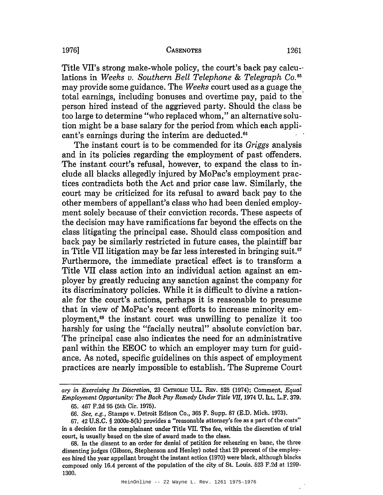Title VII's strong make-whole policy, the court's back pay calcu-' lations in *Weeks v. Southern Bell Telephone* & *Telegraph Co.* <sup>65</sup> may provide some guidance. The *Weeks* court used as a guage the total earnings, including bonuses and overtime pay, paid to the person hired instead of the aggrieved party. Should the class be too large to determine "who replaced whom," an alternative solution might be a base salary for the period from which each applicant's earnings during the interim are deducted.<sup>66</sup>

The instant court is to be commended for its *Griggs* analysis and in its policies regarding the employment of past offenders. The instant court's refusal, however, to expand the class to include all blacks allegedly injured by MoPac's employment practices contradicts both the Act and prior case law. Similarly, the court may be criticized for its refusal to award back pay to the other members of appellant's class who had been denied employment solely because of their conviction records. These aspects of the decision may have ramifications far beyond the effects on the class litigating the principal case. Should class composition and back pay be similarly restricted in future cases, the plaintiff bar in Title VII litigation may be far less interested in bringing suit.<sup>67</sup> Furthermore, the immediate practical effect is to transform a Title VII class action into an individual action against an employer by greatly reducing any sanction against the company for its discriminatory policies. While it is difficult to divine a rationale for the court's actions, perhaps it is reasonable to presume that in view of MoPac's recent efforts to increase minority employment,68 the instant court was unwilling to penalize it too harshly for using the "facially neutral" absolute conviction bar. The principal case also indicates the need for an administrative panl within the EEOC to which an employer may turn for guidance. As noted, specific guidelines on this aspect of employment practices are nearly impossible to establish. The Supreme Court

ary *in Exercising Its Discretion,* 23 CATHOLIC U.L. REV. 525 (1974); Comment, *Equal Employment Opportunity: The Back Pay Remedy Under Title VII, 1974 U. L.L. L.F. 379.* 

<sup>65. 467</sup> F.2d 95 (5th Cir. 1975).

*<sup>66.</sup> See, e.g.,* Stamps v. Detroit Edison Co., 365 F. Supp. 87 (E.D. Mich. 1973).

<sup>67. 42</sup> U.S.C. § 2000e-5(k) provides a "reasonable attorney's fee as a part of the costs" in a decision for the complainant under Title VII. The fee, within the discretion of trial court, is usually based on the size of award made to the class.

<sup>68.</sup> In the dissent to an order for denial of petition for rehearing en bane, the three dissenting judges (Gibson, Stephenson and Henley) noted that 29 percent of the employees hired the year appellant brought the instant action (1970) were'black, although blacks composed only 16.4 percent of the population of the city of St. Louis. 523 F.2d at 1299- 1300.